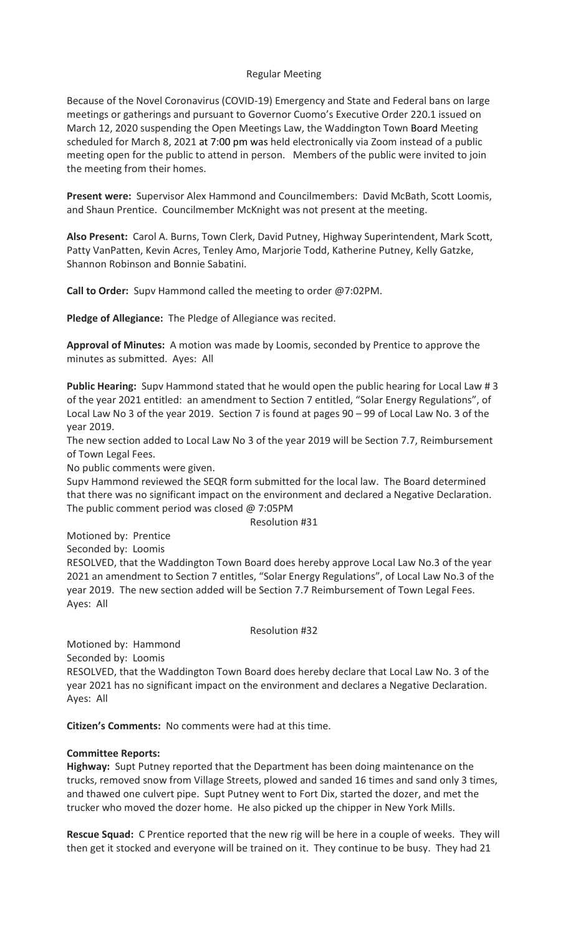### Regular Meeting

Because of the Novel Coronavirus (COVID-19) Emergency and State and Federal bans on large meetings or gatherings and pursuant to Governor Cuomo's Executive Order 220.1 issued on March 12, 2020 suspending the Open Meetings Law, the Waddington Town Board Meeting scheduled for March 8, 2021 at 7:00 pm was held electronically via Zoom instead of a public meeting open for the public to attend in person. Members of the public were invited to join the meeting from their homes.

**Present were:** Supervisor Alex Hammond and Councilmembers: David McBath, Scott Loomis, and Shaun Prentice. Councilmember McKnight was not present at the meeting.

**Also Present:** Carol A. Burns, Town Clerk, David Putney, Highway Superintendent, Mark Scott, Patty VanPatten, Kevin Acres, Tenley Amo, Marjorie Todd, Katherine Putney, Kelly Gatzke, Shannon Robinson and Bonnie Sabatini.

**Call to Order:** Supv Hammond called the meeting to order @7:02PM.

**Pledge of Allegiance:** The Pledge of Allegiance was recited.

**Approval of Minutes:** A motion was made by Loomis, seconded by Prentice to approve the minutes as submitted. Ayes: All

**Public Hearing:** Supv Hammond stated that he would open the public hearing for Local Law # 3 of the year 2021 entitled: an amendment to Section 7 entitled, "Solar Energy Regulations", of Local Law No 3 of the year 2019. Section 7 is found at pages 90 – 99 of Local Law No. 3 of the year 2019.

The new section added to Local Law No 3 of the year 2019 will be Section 7.7, Reimbursement of Town Legal Fees.

No public comments were given.

Supv Hammond reviewed the SEQR form submitted for the local law. The Board determined that there was no significant impact on the environment and declared a Negative Declaration. The public comment period was closed @ 7:05PM

Resolution #31

Motioned by: Prentice

Seconded by: Loomis

RESOLVED, that the Waddington Town Board does hereby approve Local Law No.3 of the year 2021 an amendment to Section 7 entitles, "Solar Energy Regulations", of Local Law No.3 of the year 2019. The new section added will be Section 7.7 Reimbursement of Town Legal Fees. Ayes: All

Resolution #32

Motioned by: Hammond Seconded by: Loomis

RESOLVED, that the Waddington Town Board does hereby declare that Local Law No. 3 of the year 2021 has no significant impact on the environment and declares a Negative Declaration. Ayes: All

**Citizen's Comments:** No comments were had at this time.

#### **Committee Reports:**

**Highway:** Supt Putney reported that the Department has been doing maintenance on the trucks, removed snow from Village Streets, plowed and sanded 16 times and sand only 3 times, and thawed one culvert pipe. Supt Putney went to Fort Dix, started the dozer, and met the trucker who moved the dozer home. He also picked up the chipper in New York Mills.

**Rescue Squad:** C Prentice reported that the new rig will be here in a couple of weeks. They will then get it stocked and everyone will be trained on it. They continue to be busy. They had 21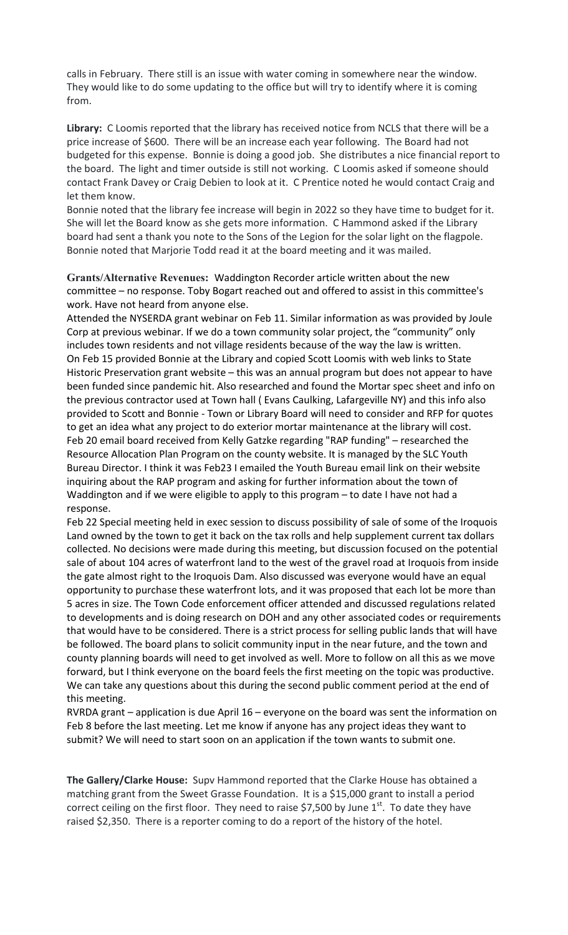calls in February. There still is an issue with water coming in somewhere near the window. They would like to do some updating to the office but will try to identify where it is coming from.

**Library:** C Loomis reported that the library has received notice from NCLS that there will be a price increase of \$600. There will be an increase each year following. The Board had not budgeted for this expense. Bonnie is doing a good job. She distributes a nice financial report to the board. The light and timer outside is still not working. C Loomis asked if someone should contact Frank Davey or Craig Debien to look at it. C Prentice noted he would contact Craig and let them know.

Bonnie noted that the library fee increase will begin in 2022 so they have time to budget for it. She will let the Board know as she gets more information. C Hammond asked if the Library board had sent a thank you note to the Sons of the Legion for the solar light on the flagpole. Bonnie noted that Marjorie Todd read it at the board meeting and it was mailed.

**Grants/Alternative Revenues:** Waddington Recorder article written about the new committee – no response. Toby Bogart reached out and offered to assist in this committee's work. Have not heard from anyone else.

Attended the NYSERDA grant webinar on Feb 11. Similar information as was provided by Joule Corp at previous webinar. If we do a town community solar project, the "community" only includes town residents and not village residents because of the way the law is written. On Feb 15 provided Bonnie at the Library and copied Scott Loomis with web links to State Historic Preservation grant website – this was an annual program but does not appear to have been funded since pandemic hit. Also researched and found the Mortar spec sheet and info on the previous contractor used at Town hall ( Evans Caulking, Lafargeville NY) and this info also provided to Scott and Bonnie - Town or Library Board will need to consider and RFP for quotes to get an idea what any project to do exterior mortar maintenance at the library will cost. Feb 20 email board received from Kelly Gatzke regarding "RAP funding" – researched the Resource Allocation Plan Program on the county website. It is managed by the SLC Youth Bureau Director. I think it was Feb23 I emailed the Youth Bureau email link on their website inquiring about the RAP program and asking for further information about the town of Waddington and if we were eligible to apply to this program – to date I have not had a response.

Feb 22 Special meeting held in exec session to discuss possibility of sale of some of the Iroquois Land owned by the town to get it back on the tax rolls and help supplement current tax dollars collected. No decisions were made during this meeting, but discussion focused on the potential sale of about 104 acres of waterfront land to the west of the gravel road at Iroquois from inside the gate almost right to the Iroquois Dam. Also discussed was everyone would have an equal opportunity to purchase these waterfront lots, and it was proposed that each lot be more than 5 acres in size. The Town Code enforcement officer attended and discussed regulations related to developments and is doing research on DOH and any other associated codes or requirements that would have to be considered. There is a strict process for selling public lands that will have be followed. The board plans to solicit community input in the near future, and the town and county planning boards will need to get involved as well. More to follow on all this as we move forward, but I think everyone on the board feels the first meeting on the topic was productive. We can take any questions about this during the second public comment period at the end of this meeting.

RVRDA grant – application is due April 16 – everyone on the board was sent the information on Feb 8 before the last meeting. Let me know if anyone has any project ideas they want to submit? We will need to start soon on an application if the town wants to submit one.

**The Gallery/Clarke House:** Supv Hammond reported that the Clarke House has obtained a matching grant from the Sweet Grasse Foundation. It is a \$15,000 grant to install a period correct ceiling on the first floor. They need to raise \$7,500 by June  $1<sup>st</sup>$ . To date they have raised \$2,350. There is a reporter coming to do a report of the history of the hotel.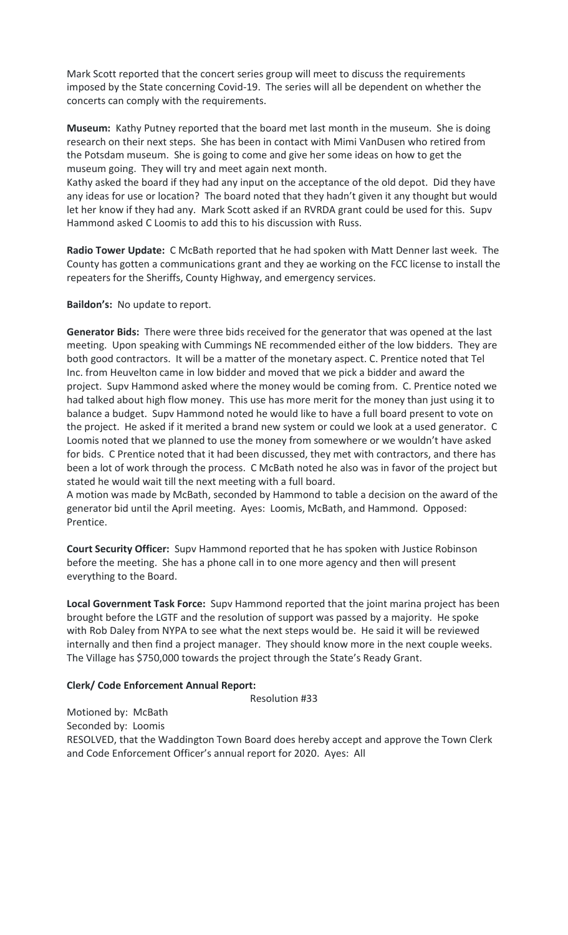Mark Scott reported that the concert series group will meet to discuss the requirements imposed by the State concerning Covid-19. The series will all be dependent on whether the concerts can comply with the requirements.

**Museum:** Kathy Putney reported that the board met last month in the museum. She is doing research on their next steps. She has been in contact with Mimi VanDusen who retired from the Potsdam museum. She is going to come and give her some ideas on how to get the museum going. They will try and meet again next month.

Kathy asked the board if they had any input on the acceptance of the old depot. Did they have any ideas for use or location? The board noted that they hadn't given it any thought but would let her know if they had any. Mark Scott asked if an RVRDA grant could be used for this. Supv Hammond asked C Loomis to add this to his discussion with Russ.

**Radio Tower Update:** C McBath reported that he had spoken with Matt Denner last week. The County has gotten a communications grant and they ae working on the FCC license to install the repeaters for the Sheriffs, County Highway, and emergency services.

**Baildon's:** No update to report.

**Generator Bids:** There were three bids received for the generator that was opened at the last meeting. Upon speaking with Cummings NE recommended either of the low bidders. They are both good contractors. It will be a matter of the monetary aspect. C. Prentice noted that Tel Inc. from Heuvelton came in low bidder and moved that we pick a bidder and award the project. Supv Hammond asked where the money would be coming from. C. Prentice noted we had talked about high flow money. This use has more merit for the money than just using it to balance a budget. Supv Hammond noted he would like to have a full board present to vote on the project. He asked if it merited a brand new system or could we look at a used generator. C Loomis noted that we planned to use the money from somewhere or we wouldn't have asked for bids. C Prentice noted that it had been discussed, they met with contractors, and there has been a lot of work through the process. C McBath noted he also was in favor of the project but stated he would wait till the next meeting with a full board.

A motion was made by McBath, seconded by Hammond to table a decision on the award of the generator bid until the April meeting. Ayes: Loomis, McBath, and Hammond. Opposed: Prentice.

**Court Security Officer:** Supv Hammond reported that he has spoken with Justice Robinson before the meeting. She has a phone call in to one more agency and then will present everything to the Board.

**Local Government Task Force:** Supv Hammond reported that the joint marina project has been brought before the LGTF and the resolution of support was passed by a majority. He spoke with Rob Daley from NYPA to see what the next steps would be. He said it will be reviewed internally and then find a project manager. They should know more in the next couple weeks. The Village has \$750,000 towards the project through the State's Ready Grant.

# **Clerk/ Code Enforcement Annual Report:**

Resolution #33

Motioned by: McBath Seconded by: Loomis RESOLVED, that the Waddington Town Board does hereby accept and approve the Town Clerk and Code Enforcement Officer's annual report for 2020. Ayes: All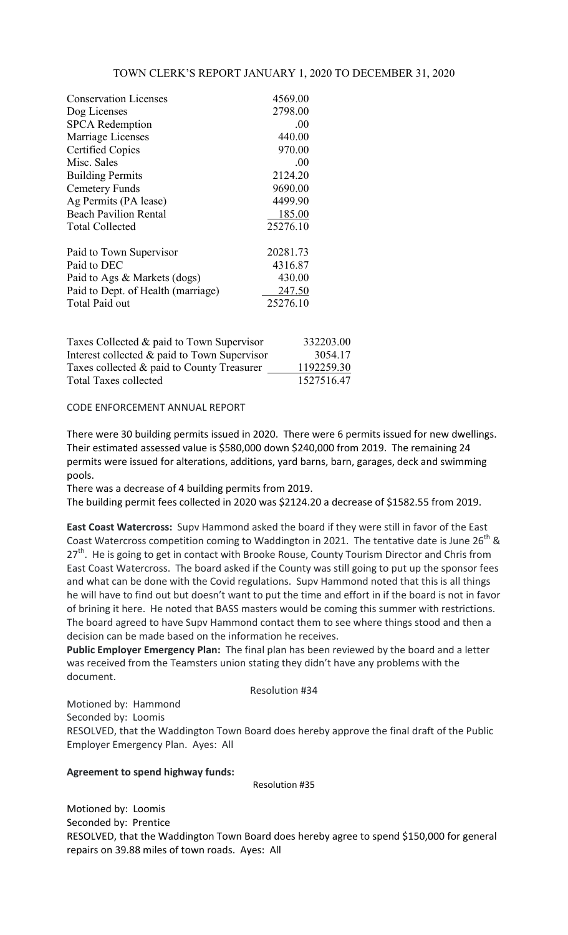## TOWN CLERK'S REPORT JANUARY 1, 2020 TO DECEMBER 31, 2020

| <b>Conservation Licenses</b>       | 4569.00  |
|------------------------------------|----------|
| Dog Licenses                       | 2798.00  |
| <b>SPCA</b> Redemption             | .00      |
| Marriage Licenses                  | 440.00   |
| <b>Certified Copies</b>            | 970.00   |
| Misc. Sales                        | .00.     |
| <b>Building Permits</b>            | 2124.20  |
| Cemetery Funds                     | 9690.00  |
| Ag Permits (PA lease)              | 4499.90  |
| <b>Beach Pavilion Rental</b>       | 185.00   |
| <b>Total Collected</b>             | 25276.10 |
| Paid to Town Supervisor            | 20281.73 |
| Paid to DEC                        | 4316.87  |
| Paid to Ags & Markets (dogs)       | 430.00   |
| Paid to Dept. of Health (marriage) | 247.50   |
| Total Paid out                     | 25276.10 |
|                                    |          |

| Taxes Collected & paid to Town Supervisor    | 332203.00  |
|----------------------------------------------|------------|
| Interest collected & paid to Town Supervisor | 3054.17    |
| Taxes collected & paid to County Treasurer   | 1192259.30 |
| <b>Total Taxes collected</b>                 | 1527516.47 |

### CODE ENFORCEMENT ANNUAL REPORT

There were 30 building permits issued in 2020. There were 6 permits issued for new dwellings. Their estimated assessed value is \$580,000 down \$240,000 from 2019. The remaining 24 permits were issued for alterations, additions, yard barns, barn, garages, deck and swimming pools.

There was a decrease of 4 building permits from 2019.

The building permit fees collected in 2020 was \$2124.20 a decrease of \$1582.55 from 2019.

**East Coast Watercross:** Supv Hammond asked the board if they were still in favor of the East Coast Watercross competition coming to Waddington in 2021. The tentative date is June 26<sup>th</sup> & 27<sup>th</sup>. He is going to get in contact with Brooke Rouse, County Tourism Director and Chris from East Coast Watercross. The board asked if the County was still going to put up the sponsor fees and what can be done with the Covid regulations. Supv Hammond noted that this is all things he will have to find out but doesn't want to put the time and effort in if the board is not in favor of brining it here. He noted that BASS masters would be coming this summer with restrictions. The board agreed to have Supv Hammond contact them to see where things stood and then a decision can be made based on the information he receives.

**Public Employer Emergency Plan:** The final plan has been reviewed by the board and a letter was received from the Teamsters union stating they didn't have any problems with the document.

#### Resolution #34

Motioned by: Hammond Seconded by: Loomis RESOLVED, that the Waddington Town Board does hereby approve the final draft of the Public Employer Emergency Plan. Ayes: All

#### **Agreement to spend highway funds:**

Resolution #35

Motioned by: Loomis Seconded by: Prentice RESOLVED, that the Waddington Town Board does hereby agree to spend \$150,000 for general repairs on 39.88 miles of town roads. Ayes: All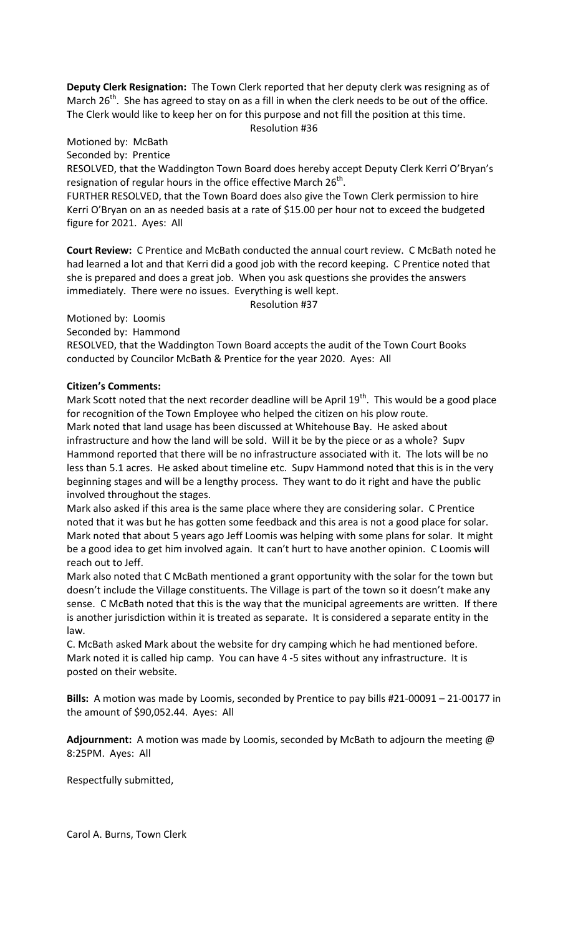**Deputy Clerk Resignation:** The Town Clerk reported that her deputy clerk was resigning as of March  $26<sup>th</sup>$ . She has agreed to stay on as a fill in when the clerk needs to be out of the office. The Clerk would like to keep her on for this purpose and not fill the position at this time. Resolution #36

Motioned by: McBath Seconded by: Prentice

RESOLVED, that the Waddington Town Board does hereby accept Deputy Clerk Kerri O'Bryan's resignation of regular hours in the office effective March  $26<sup>th</sup>$ .

FURTHER RESOLVED, that the Town Board does also give the Town Clerk permission to hire Kerri O'Bryan on an as needed basis at a rate of \$15.00 per hour not to exceed the budgeted figure for 2021. Ayes: All

**Court Review:** C Prentice and McBath conducted the annual court review. C McBath noted he had learned a lot and that Kerri did a good job with the record keeping. C Prentice noted that she is prepared and does a great job. When you ask questions she provides the answers immediately. There were no issues. Everything is well kept.

Resolution #37

Motioned by: Loomis

Seconded by: Hammond

RESOLVED, that the Waddington Town Board accepts the audit of the Town Court Books conducted by Councilor McBath & Prentice for the year 2020. Ayes: All

### **Citizen's Comments:**

Mark Scott noted that the next recorder deadline will be April  $19<sup>th</sup>$ . This would be a good place for recognition of the Town Employee who helped the citizen on his plow route. Mark noted that land usage has been discussed at Whitehouse Bay. He asked about infrastructure and how the land will be sold. Will it be by the piece or as a whole? Supv Hammond reported that there will be no infrastructure associated with it. The lots will be no less than 5.1 acres. He asked about timeline etc. Supv Hammond noted that this is in the very beginning stages and will be a lengthy process. They want to do it right and have the public involved throughout the stages.

Mark also asked if this area is the same place where they are considering solar. C Prentice noted that it was but he has gotten some feedback and this area is not a good place for solar. Mark noted that about 5 years ago Jeff Loomis was helping with some plans for solar. It might be a good idea to get him involved again. It can't hurt to have another opinion. C Loomis will reach out to Jeff.

Mark also noted that C McBath mentioned a grant opportunity with the solar for the town but doesn't include the Village constituents. The Village is part of the town so it doesn't make any sense. C McBath noted that this is the way that the municipal agreements are written. If there is another jurisdiction within it is treated as separate. It is considered a separate entity in the law.

C. McBath asked Mark about the website for dry camping which he had mentioned before. Mark noted it is called hip camp. You can have 4 -5 sites without any infrastructure. It is posted on their website.

**Bills:** A motion was made by Loomis, seconded by Prentice to pay bills #21-00091 – 21-00177 in the amount of \$90,052.44. Ayes: All

**Adjournment:** A motion was made by Loomis, seconded by McBath to adjourn the meeting @ 8:25PM. Ayes: All

Respectfully submitted,

Carol A. Burns, Town Clerk